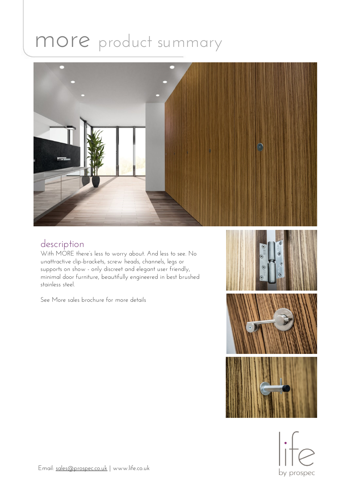# more product summary



### description

With MORE there's less to worry about. And less to see. No unattractive clip-brackets, screw heads, channels, legs or supports on show - only discreet and elegant user friendly, minimal door furniture, beautifully engineered in best brushed stainless steel.

See More sales brochure for more details